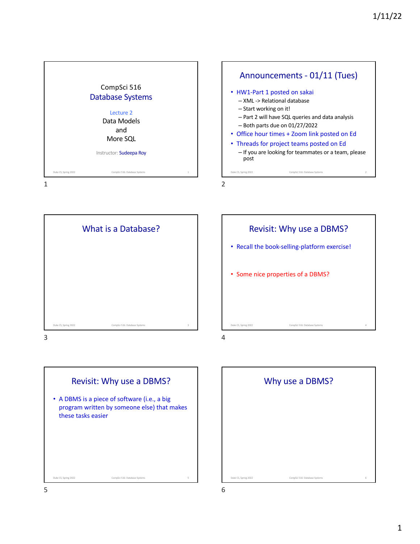









Revisit: Why use a DBMS?

• Recall the book-selling-platform exercise!

• Some nice properties of a DBMS?

Duke CS, Spring 2022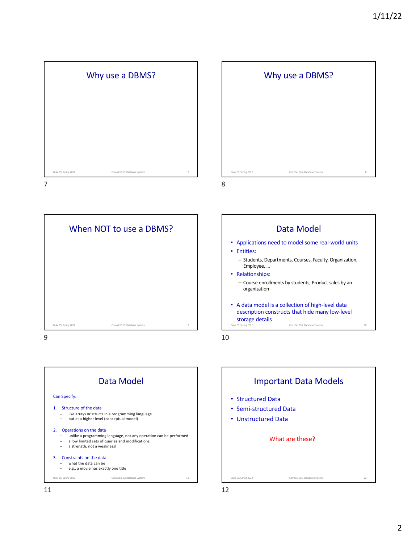









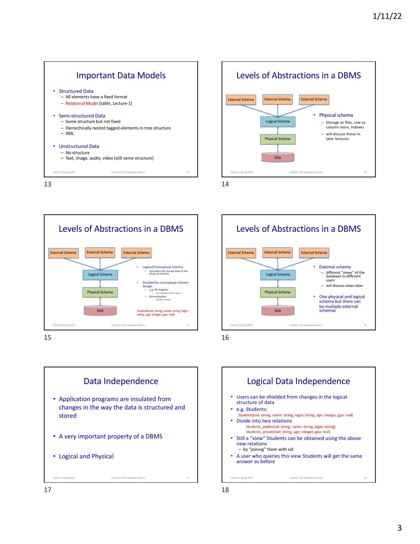

13









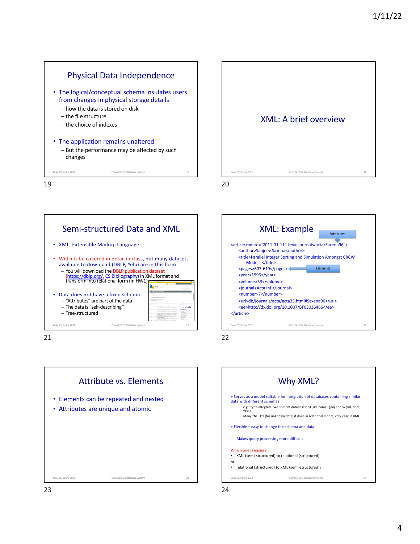



Semi-structured Data and XML • XML: Extensible Markup Language • Will not be covered in detail in class, but many datasets available to download (DBLP, Yelp) are in this form – You will download the DBLP publication dataset (https://dblp.org/, CS Bibliography) in XML format and transform into relational form (in HW1) • Data does not have a fixed schema – "Attributes" are part of the data – The data is "self-describing" والمست – Tree-structured Duke CS, Spring 2022 CompSci 516: Database Systems 21

21





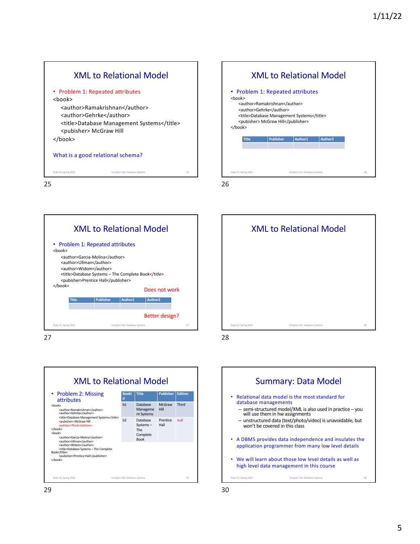



26



27





Summary: Data Model • Relational data model is the most standard for database managements – semi-structured model/XML is also used in practice – you will use them in hw assignments – unstructured data (text/photo/video) is unavoidable, but won't be covered in this class • A DBMS provides data independence and insulates the application programmer from many low level details • We will learn about those low level details as well as high level data management in this course Duke CS, Spring 2022 CompSci 516: Database Systems 300 CompSci 516: Database Systems 300 CompSci 516: Database Systems 300 CompSci 516: Database Systems 300 CompSci 516: Database Systems 300 CompSci 516: Database Systems 3

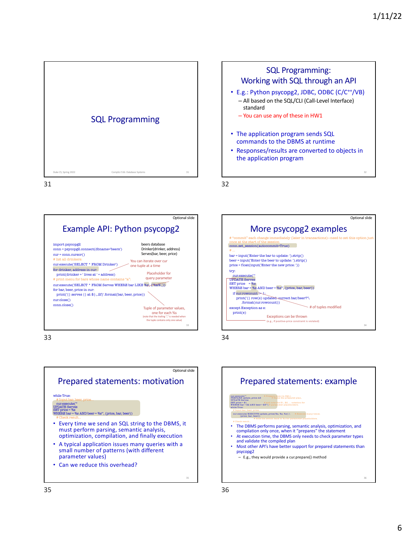

31



33





SQL Programming: Working with SQL through an API • E.g.: Python psycopg2, JDBC, ODBC (C/C++/VB) – All based on the SQL/CLI (Call-Level Interface)

• Responses/results are converted to objects in

– You can use any of these in HW1

• The application program sends SQL commands to the DBMS at runtime

the application program

standard

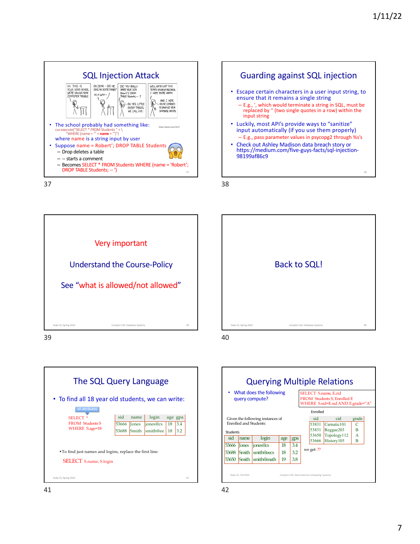







39





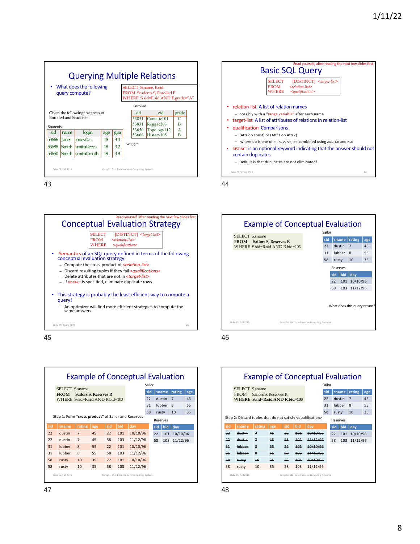





45







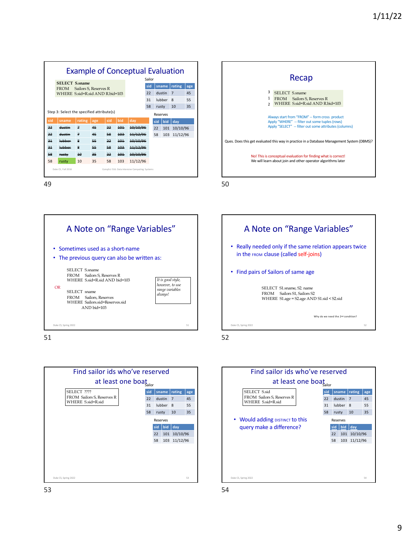| <b>Example of Conceptual Evaluation</b><br>Sailor                                       |                                                                                                  |        |          |          |            |                      |                              |        |     |                          |           |
|-----------------------------------------------------------------------------------------|--------------------------------------------------------------------------------------------------|--------|----------|----------|------------|----------------------|------------------------------|--------|-----|--------------------------|-----------|
|                                                                                         | <b>SELECT S.sname</b><br>Sailors S, Reserves R<br><b>FROM</b><br>WHERE S.sid=R.sid AND R.bid=103 |        |          |          |            |                      | sid<br>sname<br>dustin<br>22 |        |     | rating<br>$\overline{7}$ | age<br>45 |
|                                                                                         |                                                                                                  |        |          |          |            |                      | 31                           | lubber |     | 8                        | 55        |
| 58<br>10<br>35<br>rusty<br>Step 3: Select the specified attribute(s)<br><b>Reserves</b> |                                                                                                  |        |          |          |            |                      |                              |        |     |                          |           |
| sid                                                                                     | sname                                                                                            | rating | age      | sid      | bid        | day                  |                              | sid    | bid | dav                      |           |
| 22                                                                                      | ductin                                                                                           | z      | 45       | 22       | 101        | 10/10/96             |                              | 22     | 101 | 10/10/96                 |           |
| جڊ                                                                                      | dustin                                                                                           | 7      | 45       | 58       | 403        | 11/12/96             |                              | 58     | 103 | 11/12/96                 |           |
| 21<br>21                                                                                | lubbor<br>lubbor                                                                                 | 8<br>g | 55<br>55 | 22<br>58 | 101<br>402 | 10/10/96<br>11/12/06 |                              |        |     |                          |           |
| 58                                                                                      | <b>rustv</b>                                                                                     | 40     | $-25$    | جڊ       | $+0+$      | 10/10/96             |                              |        |     |                          |           |
| 58                                                                                      | rusty                                                                                            | 10     | 35       | 58       | 103        | 11/12/96             |                              |        |     |                          |           |
| Duke CS, Fall 2016<br>CompSci 516: Data Intensive Computing Systems                     |                                                                                                  |        |          |          |            |                      |                              |        |     |                          |           |



A Note on "Range Variables" • Sometimes used as a short-name • The previous query can also be written as: SELECT S.sname FROM Sailors S, Reserves R WHERE S.sid=R.sid AND bid=103 SELECT sname FROM Sailors, Reserves WHERE Sailors.sid=Reserves.sid AND bid=103 *It is good style, however, to use range variables always!* OR Duke CS, Spring 2022 51







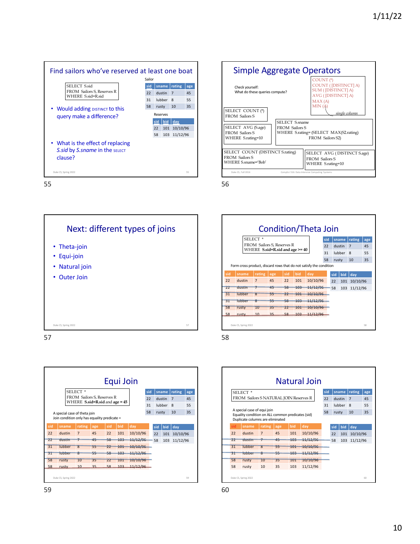



56









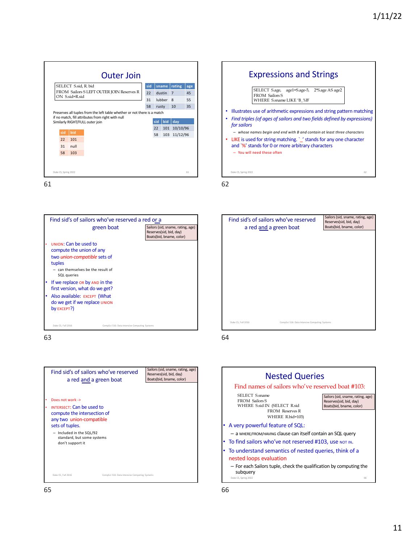



63





62